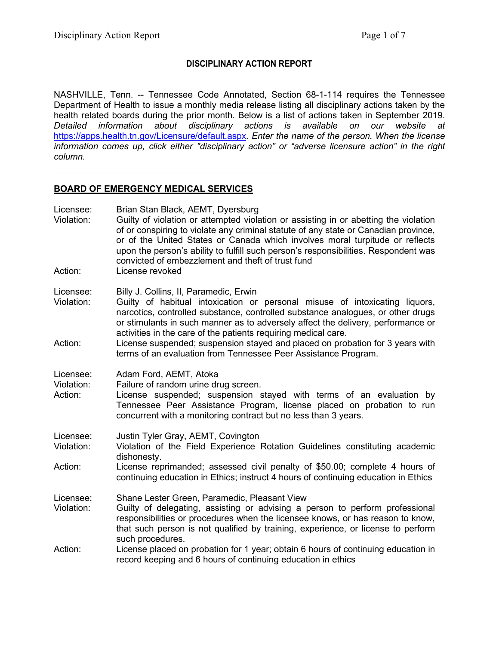# **DISCIPLINARY ACTION REPORT**

NASHVILLE, Tenn. -- Tennessee Code Annotated, Section 68-1-114 requires the Tennessee Department of Health to issue a monthly media release listing all disciplinary actions taken by the health related boards during the prior month. Below is a list of actions taken in September 2019. *Detailed information about disciplinary actions is available on our website at*  <https://apps.health.tn.gov/Licensure/default.aspx>*. Enter the name of the person. When the license information comes up, click either "disciplinary action" or "adverse licensure action" in the right column.*

## **BOARD OF EMERGENCY MEDICAL SERVICES**

| Licensee:<br>Violation:<br>Action: | Brian Stan Black, AEMT, Dyersburg<br>Guilty of violation or attempted violation or assisting in or abetting the violation<br>of or conspiring to violate any criminal statute of any state or Canadian province,<br>or of the United States or Canada which involves moral turpitude or reflects<br>upon the person's ability to fulfill such person's responsibilities. Respondent was<br>convicted of embezzlement and theft of trust fund<br>License revoked |
|------------------------------------|-----------------------------------------------------------------------------------------------------------------------------------------------------------------------------------------------------------------------------------------------------------------------------------------------------------------------------------------------------------------------------------------------------------------------------------------------------------------|
| Licensee:<br>Violation:            | Billy J. Collins, II, Paramedic, Erwin<br>Guilty of habitual intoxication or personal misuse of intoxicating liquors,<br>narcotics, controlled substance, controlled substance analogues, or other drugs<br>or stimulants in such manner as to adversely affect the delivery, performance or<br>activities in the care of the patients requiring medical care.                                                                                                  |
| Action:                            | License suspended; suspension stayed and placed on probation for 3 years with<br>terms of an evaluation from Tennessee Peer Assistance Program.                                                                                                                                                                                                                                                                                                                 |
| Licensee:<br>Violation:<br>Action: | Adam Ford, AEMT, Atoka<br>Failure of random urine drug screen.<br>License suspended; suspension stayed with terms of an evaluation by<br>Tennessee Peer Assistance Program, license placed on probation to run<br>concurrent with a monitoring contract but no less than 3 years.                                                                                                                                                                               |
| Licensee:<br>Violation:            | Justin Tyler Gray, AEMT, Covington<br>Violation of the Field Experience Rotation Guidelines constituting academic<br>dishonesty.                                                                                                                                                                                                                                                                                                                                |
| Action:                            | License reprimanded; assessed civil penalty of \$50.00; complete 4 hours of<br>continuing education in Ethics; instruct 4 hours of continuing education in Ethics                                                                                                                                                                                                                                                                                               |
| Licensee:<br>Violation:            | Shane Lester Green, Paramedic, Pleasant View<br>Guilty of delegating, assisting or advising a person to perform professional<br>responsibilities or procedures when the licensee knows, or has reason to know,<br>that such person is not qualified by training, experience, or license to perform<br>such procedures.                                                                                                                                          |
| Action:                            | License placed on probation for 1 year; obtain 6 hours of continuing education in<br>record keeping and 6 hours of continuing education in ethics                                                                                                                                                                                                                                                                                                               |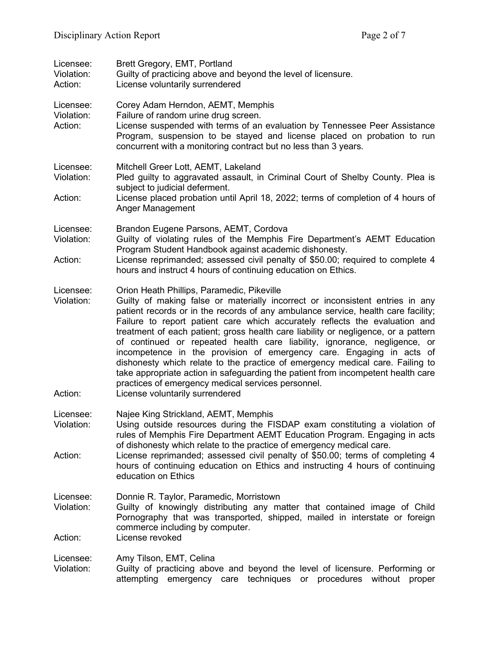| Licensee:<br>Violation:<br>Action: | Brett Gregory, EMT, Portland<br>Guilty of practicing above and beyond the level of licensure.<br>License voluntarily surrendered                                                                                                                                                                                                                                                                                                                                                                                                                                                                                                                                                                                                                                                                         |
|------------------------------------|----------------------------------------------------------------------------------------------------------------------------------------------------------------------------------------------------------------------------------------------------------------------------------------------------------------------------------------------------------------------------------------------------------------------------------------------------------------------------------------------------------------------------------------------------------------------------------------------------------------------------------------------------------------------------------------------------------------------------------------------------------------------------------------------------------|
| Licensee:<br>Violation:<br>Action: | Corey Adam Herndon, AEMT, Memphis<br>Failure of random urine drug screen.<br>License suspended with terms of an evaluation by Tennessee Peer Assistance<br>Program, suspension to be stayed and license placed on probation to run<br>concurrent with a monitoring contract but no less than 3 years.                                                                                                                                                                                                                                                                                                                                                                                                                                                                                                    |
| Licensee:<br>Violation:            | Mitchell Greer Lott, AEMT, Lakeland<br>Pled guilty to aggravated assault, in Criminal Court of Shelby County. Plea is<br>subject to judicial deferment.                                                                                                                                                                                                                                                                                                                                                                                                                                                                                                                                                                                                                                                  |
| Action:                            | License placed probation until April 18, 2022; terms of completion of 4 hours of<br>Anger Management                                                                                                                                                                                                                                                                                                                                                                                                                                                                                                                                                                                                                                                                                                     |
| Licensee:<br>Violation:<br>Action: | Brandon Eugene Parsons, AEMT, Cordova<br>Guilty of violating rules of the Memphis Fire Department's AEMT Education<br>Program Student Handbook against academic dishonesty.<br>License reprimanded; assessed civil penalty of \$50.00; required to complete 4<br>hours and instruct 4 hours of continuing education on Ethics.                                                                                                                                                                                                                                                                                                                                                                                                                                                                           |
| Licensee:<br>Violation:<br>Action: | Orion Heath Phillips, Paramedic, Pikeville<br>Guilty of making false or materially incorrect or inconsistent entries in any<br>patient records or in the records of any ambulance service, health care facility;<br>Failure to report patient care which accurately reflects the evaluation and<br>treatment of each patient; gross health care liability or negligence, or a pattern<br>of continued or repeated health care liability, ignorance, negligence, or<br>incompetence in the provision of emergency care. Engaging in acts of<br>dishonesty which relate to the practice of emergency medical care. Failing to<br>take appropriate action in safeguarding the patient from incompetent health care<br>practices of emergency medical services personnel.<br>License voluntarily surrendered |
| Licensee:<br>Violation:<br>Action: | Najee King Strickland, AEMT, Memphis<br>Using outside resources during the FISDAP exam constituting a violation of<br>rules of Memphis Fire Department AEMT Education Program. Engaging in acts<br>of dishonesty which relate to the practice of emergency medical care.<br>License reprimanded; assessed civil penalty of \$50.00; terms of completing 4                                                                                                                                                                                                                                                                                                                                                                                                                                                |
|                                    | hours of continuing education on Ethics and instructing 4 hours of continuing<br>education on Ethics                                                                                                                                                                                                                                                                                                                                                                                                                                                                                                                                                                                                                                                                                                     |
| Licensee:<br>Violation:<br>Action: | Donnie R. Taylor, Paramedic, Morristown<br>Guilty of knowingly distributing any matter that contained image of Child<br>Pornography that was transported, shipped, mailed in interstate or foreign<br>commerce including by computer.<br>License revoked                                                                                                                                                                                                                                                                                                                                                                                                                                                                                                                                                 |
| Licensee:<br>Violation:            | Amy Tilson, EMT, Celina<br>Guilty of practicing above and beyond the level of licensure. Performing or<br>attempting emergency care techniques or procedures without<br>proper                                                                                                                                                                                                                                                                                                                                                                                                                                                                                                                                                                                                                           |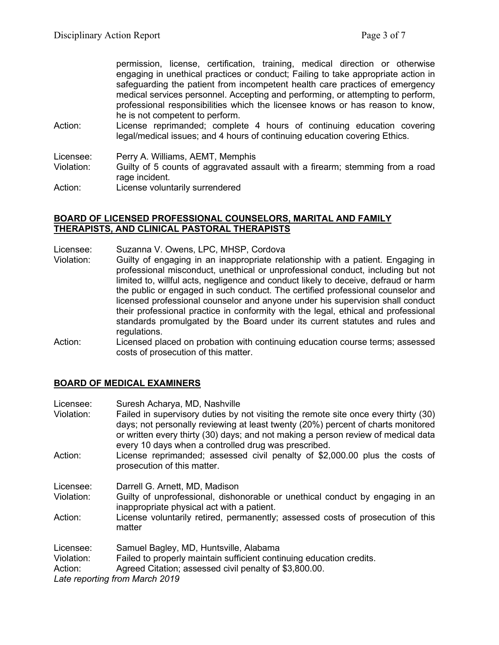permission, license, certification, training, medical direction or otherwise engaging in unethical practices or conduct; Failing to take appropriate action in safeguarding the patient from incompetent health care practices of emergency medical services personnel. Accepting and performing, or attempting to perform, professional responsibilities which the licensee knows or has reason to know, he is not competent to perform.

Action: License reprimanded; complete 4 hours of continuing education covering legal/medical issues; and 4 hours of continuing education covering Ethics.

Licensee: Perry A. Williams, AEMT, Memphis<br>Violation: Guilty of 5 counts of aggravated as Guilty of 5 counts of aggravated assault with a firearm; stemming from a road rage incident. Action: License voluntarily surrendered

#### **BOARD OF LICENSED PROFESSIONAL COUNSELORS, MARITAL AND FAMILY THERAPISTS, AND CLINICAL PASTORAL THERAPISTS**

- Licensee: Suzanna V. Owens, LPC, MHSP, Cordova
- Violation: Guilty of engaging in an inappropriate relationship with a patient. Engaging in professional misconduct, unethical or unprofessional conduct, including but not limited to, willful acts, negligence and conduct likely to deceive, defraud or harm the public or engaged in such conduct. The certified professional counselor and licensed professional counselor and anyone under his supervision shall conduct their professional practice in conformity with the legal, ethical and professional standards promulgated by the Board under its current statutes and rules and regulations.
- Action: Licensed placed on probation with continuing education course terms; assessed costs of prosecution of this matter.

# **BOARD OF MEDICAL EXAMINERS**

| Licensee:  | Suresh Acharya, MD, Nashville                                                                                                                                                                                                                                |
|------------|--------------------------------------------------------------------------------------------------------------------------------------------------------------------------------------------------------------------------------------------------------------|
| Violation: | Failed in supervisory duties by not visiting the remote site once every thirty (30)<br>days; not personally reviewing at least twenty (20%) percent of charts monitored<br>or written every thirty (30) days; and not making a person review of medical data |
| Action:    | every 10 days when a controlled drug was prescribed.<br>License reprimanded; assessed civil penalty of \$2,000.00 plus the costs of<br>prosecution of this matter.                                                                                           |
| Licensee:  | Darrell G. Arnett, MD, Madison                                                                                                                                                                                                                               |
| Violation: | Guilty of unprofessional, dishonorable or unethical conduct by engaging in an<br>inappropriate physical act with a patient.                                                                                                                                  |
| Action:    | License voluntarily retired, permanently; assessed costs of prosecution of this<br>matter                                                                                                                                                                    |
| Licensee:  | Samuel Bagley, MD, Huntsville, Alabama                                                                                                                                                                                                                       |
| Violation: | Failed to properly maintain sufficient continuing education credits.                                                                                                                                                                                         |
| Action:    | Agreed Citation; assessed civil penalty of \$3,800.00.                                                                                                                                                                                                       |
|            | Late reporting from March 2019                                                                                                                                                                                                                               |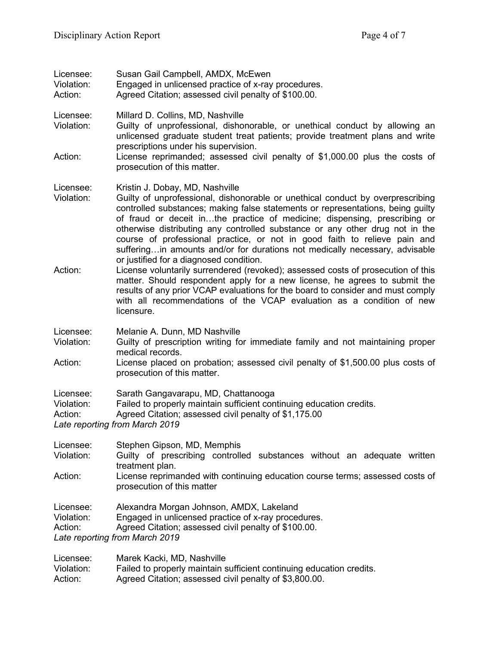| Licensee:<br>Violation:<br>Action: | Susan Gail Campbell, AMDX, McEwen<br>Engaged in unlicensed practice of x-ray procedures.<br>Agreed Citation; assessed civil penalty of \$100.00.                                                                                                                                                                                                                                                                                                                                                                                                                         |
|------------------------------------|--------------------------------------------------------------------------------------------------------------------------------------------------------------------------------------------------------------------------------------------------------------------------------------------------------------------------------------------------------------------------------------------------------------------------------------------------------------------------------------------------------------------------------------------------------------------------|
| Licensee:<br>Violation:            | Millard D. Collins, MD, Nashville<br>Guilty of unprofessional, dishonorable, or unethical conduct by allowing an<br>unlicensed graduate student treat patients; provide treatment plans and write<br>prescriptions under his supervision.                                                                                                                                                                                                                                                                                                                                |
| Action:                            | License reprimanded; assessed civil penalty of \$1,000.00 plus the costs of<br>prosecution of this matter.                                                                                                                                                                                                                                                                                                                                                                                                                                                               |
| Licensee:<br>Violation:            | Kristin J. Dobay, MD, Nashville<br>Guilty of unprofessional, dishonorable or unethical conduct by overprescribing<br>controlled substances; making false statements or representations, being guilty<br>of fraud or deceit inthe practice of medicine; dispensing, prescribing or<br>otherwise distributing any controlled substance or any other drug not in the<br>course of professional practice, or not in good faith to relieve pain and<br>sufferingin amounts and/or for durations not medically necessary, advisable<br>or justified for a diagnosed condition. |
| Action:                            | License voluntarily surrendered (revoked); assessed costs of prosecution of this<br>matter. Should respondent apply for a new license, he agrees to submit the<br>results of any prior VCAP evaluations for the board to consider and must comply<br>with all recommendations of the VCAP evaluation as a condition of new<br>licensure.                                                                                                                                                                                                                                 |
| Licensee:<br>Violation:            | Melanie A. Dunn, MD Nashville<br>Guilty of prescription writing for immediate family and not maintaining proper                                                                                                                                                                                                                                                                                                                                                                                                                                                          |
| Action:                            | medical records.<br>License placed on probation; assessed civil penalty of \$1,500.00 plus costs of<br>prosecution of this matter.                                                                                                                                                                                                                                                                                                                                                                                                                                       |
| Licensee:<br>Violation:<br>Action: | Sarath Gangavarapu, MD, Chattanooga<br>Failed to properly maintain sufficient continuing education credits.<br>Agreed Citation; assessed civil penalty of \$1,175.00<br>Late reporting from March 2019                                                                                                                                                                                                                                                                                                                                                                   |
| Licensee:<br>Violation:            | Stephen Gipson, MD, Memphis<br>Guilty of prescribing controlled substances without an adequate written<br>treatment plan.                                                                                                                                                                                                                                                                                                                                                                                                                                                |
| Action:                            | License reprimanded with continuing education course terms; assessed costs of<br>prosecution of this matter                                                                                                                                                                                                                                                                                                                                                                                                                                                              |
| Licensee:                          | Alexandra Morgan Johnson, AMDX, Lakeland                                                                                                                                                                                                                                                                                                                                                                                                                                                                                                                                 |

Violation: Engaged in unlicensed practice of x-ray procedures.

Action: Agreed Citation; assessed civil penalty of \$100.00.

*Late reporting from March 2019*

| Licensee:  | Marek Kacki, MD, Nashville                                           |
|------------|----------------------------------------------------------------------|
| Violation: | Failed to properly maintain sufficient continuing education credits. |
| Action:    | Agreed Citation; assessed civil penalty of \$3,800.00.               |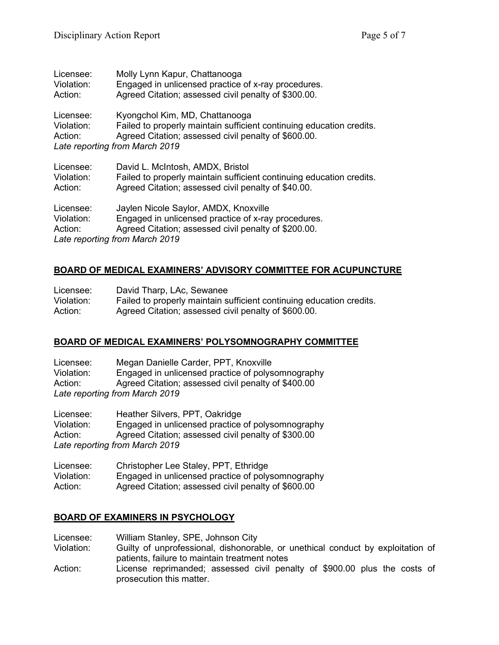| Licensee:                          | Molly Lynn Kapur, Chattanooga                                                                                                                                                                    |
|------------------------------------|--------------------------------------------------------------------------------------------------------------------------------------------------------------------------------------------------|
| Violation:                         | Engaged in unlicensed practice of x-ray procedures.                                                                                                                                              |
| Action:                            | Agreed Citation; assessed civil penalty of \$300.00.                                                                                                                                             |
| Licensee:<br>Violation:<br>Action: | Kyongchol Kim, MD, Chattanooga<br>Failed to properly maintain sufficient continuing education credits.<br>Agreed Citation; assessed civil penalty of \$600.00.<br>Late reporting from March 2019 |
| Licensee:                          | David L. McIntosh, AMDX, Bristol                                                                                                                                                                 |
| Violation:                         | Failed to properly maintain sufficient continuing education credits.                                                                                                                             |
| Action:                            | Agreed Citation; assessed civil penalty of \$40.00.                                                                                                                                              |
| Licensee:<br>Violation:<br>Action: | Jaylen Nicole Saylor, AMDX, Knoxville<br>Engaged in unlicensed practice of x-ray procedures.<br>Agreed Citation; assessed civil penalty of \$200.00.<br>Late reporting from March 2019           |

# **BOARD OF MEDICAL EXAMINERS' ADVISORY COMMITTEE FOR ACUPUNCTURE**

| Licensee:  | David Tharp, LAc, Sewanee                                            |
|------------|----------------------------------------------------------------------|
| Violation: | Failed to properly maintain sufficient continuing education credits. |
| Action:    | Agreed Citation; assessed civil penalty of \$600.00.                 |

# **BOARD OF MEDICAL EXAMINERS' POLYSOMNOGRAPHY COMMITTEE**

Licensee: Megan Danielle Carder, PPT, Knoxville Violation: Engaged in unlicensed practice of polysomnography<br>Action: Agreed Citation: assessed civil penalty of \$400.00 Agreed Citation; assessed civil penalty of \$400.00 *Late reporting from March 2019*

Licensee: Heather Silvers, PPT, Oakridge Violation: Engaged in unlicensed practice of polysomnography Action: Agreed Citation; assessed civil penalty of \$300.00 *Late reporting from March 2019*

Licensee: Christopher Lee Staley, PPT, Ethridge Engaged in unlicensed practice of polysomnography Action: Agreed Citation; assessed civil penalty of \$600.00

# **BOARD OF EXAMINERS IN PSYCHOLOGY**

- Licensee: William Stanley, SPE, Johnson City
- Guilty of unprofessional, dishonorable, or unethical conduct by exploitation of patients, failure to maintain treatment notes
- Action: License reprimanded; assessed civil penalty of \$900.00 plus the costs of prosecution this matter.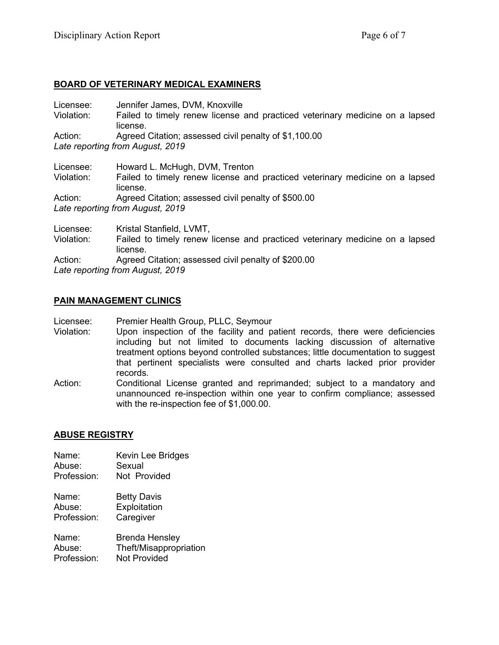# **BOARD OF VETERINARY MEDICAL EXAMINERS**

| Licensee:                                                                                                                                                                                                                       | Jennifer James, DVM, Knoxville                                                                                  |
|---------------------------------------------------------------------------------------------------------------------------------------------------------------------------------------------------------------------------------|-----------------------------------------------------------------------------------------------------------------|
| Violation:                                                                                                                                                                                                                      | Failed to timely renew license and practiced veterinary medicine on a lapsed                                    |
|                                                                                                                                                                                                                                 | license.                                                                                                        |
| Action:                                                                                                                                                                                                                         | Agreed Citation; assessed civil penalty of \$1,100.00                                                           |
|                                                                                                                                                                                                                                 | Late reporting from August, 2019                                                                                |
| Licensee:                                                                                                                                                                                                                       | Howard L. McHugh, DVM, Trenton                                                                                  |
| Violation:                                                                                                                                                                                                                      | Failed to timely renew license and practiced veterinary medicine on a lapsed<br>license.                        |
| Action:                                                                                                                                                                                                                         | Agreed Citation; assessed civil penalty of \$500.00                                                             |
|                                                                                                                                                                                                                                 | Late reporting from August, 2019                                                                                |
| Licensee:                                                                                                                                                                                                                       | Kristal Stanfield, LVMT,                                                                                        |
| $\bf{V}$ $\bf{E}$ = 1 = 4.2 = 4.4 = 4.4 = 4.4 = 4.4 = 4.4 = 4.4 = 4.4 = 4.4 = 4.4 = 4.4 = 4.4 = 4.4 = 4.4 = 4.4 = 4.4 = 4.4 = 4.4 = 4.4 = 4.4 = 4.4 = 4.4 = 4.4 = 4.4 = 4.4 = 4.4 = 4.4 = 4.4 = 4.4 = 4.4 = 4.4 = 4.4 = 4.4 = 4 | Follo de 1 150 1855 e la casa esta Romano de Marcello de Salo de Calendar esta el distante de la contra de la m |

Violation: Failed to timely renew license and practiced veterinary medicine on a lapsed license. Action: Agreed Citation; assessed civil penalty of \$200.00 *Late reporting from August, 2019*

### **PAIN MANAGEMENT CLINICS**

Licensee: Premier Health Group, PLLC, Seymour

- Violation: Upon inspection of the facility and patient records, there were deficiencies including but not limited to documents lacking discussion of alternative treatment options beyond controlled substances; little documentation to suggest that pertinent specialists were consulted and charts lacked prior provider records.
- Action: Conditional License granted and reprimanded; subject to a mandatory and unannounced re-inspection within one year to confirm compliance; assessed with the re-inspection fee of \$1,000.00.

# **ABUSE REGISTRY**

| Name:       | Kevin Lee Bridges      |
|-------------|------------------------|
| Abuse:      | Sexual                 |
| Profession: | Not Provided           |
| Name:       | <b>Betty Davis</b>     |
| Abuse:      | Exploitation           |
| Profession: | Caregiver              |
| Name:       | <b>Brenda Hensley</b>  |
| Abuse:      | Theft/Misappropriation |
| Profession: | Not Provided           |